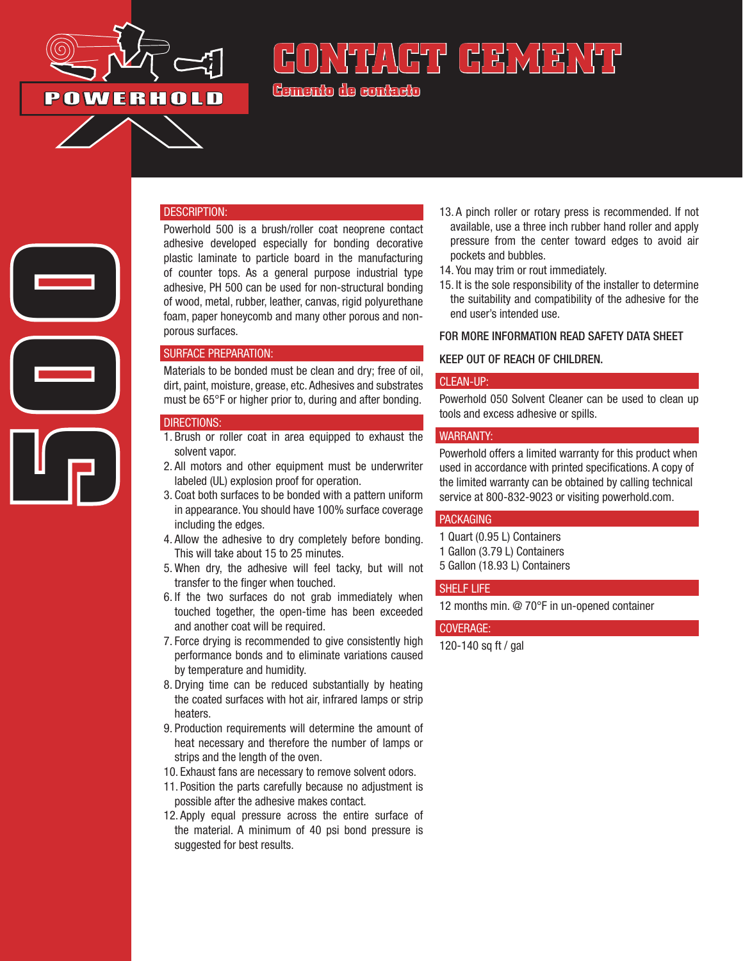

## **POWERHOLD**

**500**

# <u>NHYACTI CEMANTI</u>

**Cemento de contacto**

#### DESCRIPTION:

Powerhold 500 is a brush/roller coat neoprene contact adhesive developed especially for bonding decorative plastic laminate to particle board in the manufacturing of counter tops. As a general purpose industrial type adhesive, PH 500 can be used for non-structural bonding of wood, metal, rubber, leather, canvas, rigid polyurethane foam, paper honeycomb and many other porous and nonporous surfaces.

#### SURFACE PREPARATION:

Materials to be bonded must be clean and dry; free of oil, dirt, paint, moisture, grease, etc. Adhesives and substrates must be 65°F or higher prior to, during and after bonding.

#### DIRECTIONS:

- 1. Brush or roller coat in area equipped to exhaust the solvent vapor.
- 2. All motors and other equipment must be underwriter labeled (UL) explosion proof for operation.
- 3. Coat both surfaces to be bonded with a pattern uniform in appearance. You should have 100% surface coverage including the edges.
- 4. Allow the adhesive to dry completely before bonding. This will take about 15 to 25 minutes.
- 5. When dry, the adhesive will feel tacky, but will not transfer to the finger when touched.
- 6. If the two surfaces do not grab immediately when touched together, the open-time has been exceeded and another coat will be required.
- 7. Force drying is recommended to give consistently high performance bonds and to eliminate variations caused by temperature and humidity.
- 8. Drying time can be reduced substantially by heating the coated surfaces with hot air, infrared lamps or strip heaters.
- 9. Production requirements will determine the amount of heat necessary and therefore the number of lamps or strips and the length of the oven.
- 10. Exhaust fans are necessary to remove solvent odors.
- 11. Position the parts carefully because no adjustment is possible after the adhesive makes contact.
- 12. Apply equal pressure across the entire surface of the material. A minimum of 40 psi bond pressure is suggested for best results.
- 13. A pinch roller or rotary press is recommended. If not available, use a three inch rubber hand roller and apply pressure from the center toward edges to avoid air pockets and bubbles.
- 14. You may trim or rout immediately.
- 15. It is the sole responsibility of the installer to determine the suitability and compatibility of the adhesive for the end user's intended use.

#### FOR MORE INFORMATION READ SAFETY DATA SHEET

#### KEEP OUT OF REACH OF CHILDREN.

#### CLEAN-UP:

Powerhold 050 Solvent Cleaner can be used to clean up tools and excess adhesive or spills.

#### WARRANTY:

Powerhold offers a limited warranty for this product when used in accordance with printed specifications. A copy of the limited warranty can be obtained by calling technical service at 800-832-9023 or visiting powerhold.com.

#### PACKAGING

- 1 Quart (0.95 L) Containers
- 1 Gallon (3.79 L) Containers
- 5 Gallon (18.93 L) Containers

#### SHELF LIFE

12 months min. @ 70°F in un-opened container

#### COVERAGE:

120-140 sq ft / gal